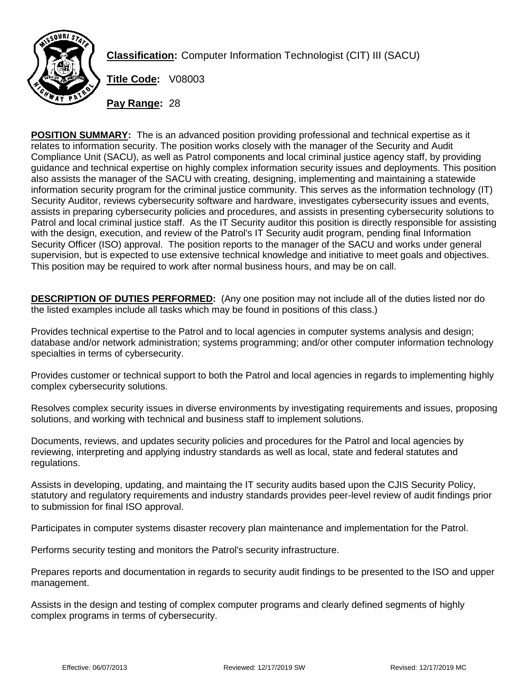

**Classification:** Computer Information Technologist (CIT) III (SACU)

**Title Code:** V08003

**Pay Range:** 28

**POSITION SUMMARY:** The is an advanced position providing professional and technical expertise as it relates to information security. The position works closely with the manager of the Security and Audit Compliance Unit (SACU), as well as Patrol components and local criminal justice agency staff, by providing guidance and technical expertise on highly complex information security issues and deployments. This position also assists the manager of the SACU with creating, designing, implementing and maintaining a statewide information security program for the criminal justice community. This serves as the information technology (IT) Security Auditor, reviews cybersecurity software and hardware, investigates cybersecurity issues and events, assists in preparing cybersecurity policies and procedures, and assists in presenting cybersecurity solutions to Patrol and local criminal justice staff. As the IT Security auditor this position is directly responsible for assisting with the design, execution, and review of the Patrol's IT Security audit program, pending final Information Security Officer (ISO) approval. The position reports to the manager of the SACU and works under general supervision, but is expected to use extensive technical knowledge and initiative to meet goals and objectives. This position may be required to work after normal business hours, and may be on call.

**DESCRIPTION OF DUTIES PERFORMED:** (Any one position may not include all of the duties listed nor do the listed examples include all tasks which may be found in positions of this class.)

Provides technical expertise to the Patrol and to local agencies in computer systems analysis and design; database and/or network administration; systems programming; and/or other computer information technology specialties in terms of cybersecurity.

Provides customer or technical support to both the Patrol and local agencies in regards to implementing highly complex cybersecurity solutions.

Resolves complex security issues in diverse environments by investigating requirements and issues, proposing solutions, and working with technical and business staff to implement solutions.

Documents, reviews, and updates security policies and procedures for the Patrol and local agencies by reviewing, interpreting and applying industry standards as well as local, state and federal statutes and regulations.

Assists in developing, updating, and maintaing the IT security audits based upon the CJIS Security Policy, statutory and regulatory requirements and industry standards provides peer-level review of audit findings prior to submission for final ISO approval.

Participates in computer systems disaster recovery plan maintenance and implementation for the Patrol.

Performs security testing and monitors the Patrol's security infrastructure.

Prepares reports and documentation in regards to security audit findings to be presented to the ISO and upper management.

Assists in the design and testing of complex computer programs and clearly defined segments of highly complex programs in terms of cybersecurity.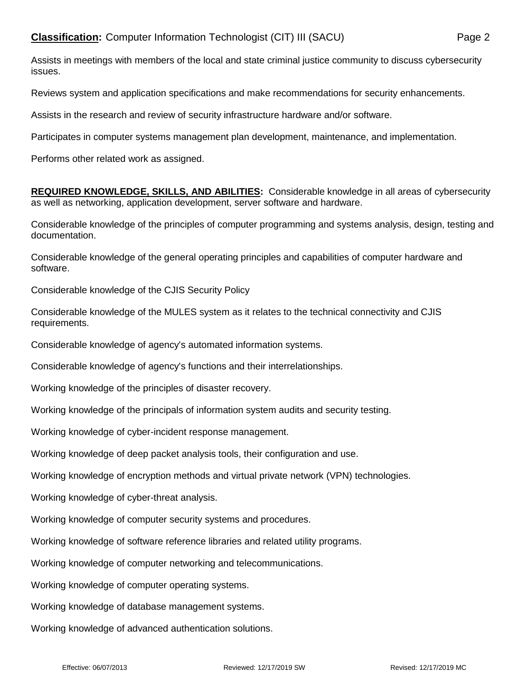Assists in meetings with members of the local and state criminal justice community to discuss cybersecurity issues.

Reviews system and application specifications and make recommendations for security enhancements.

Assists in the research and review of security infrastructure hardware and/or software.

Participates in computer systems management plan development, maintenance, and implementation.

Performs other related work as assigned.

**REQUIRED KNOWLEDGE, SKILLS, AND ABILITIES:** Considerable knowledge in all areas of cybersecurity as well as networking, application development, server software and hardware.

Considerable knowledge of the principles of computer programming and systems analysis, design, testing and documentation.

Considerable knowledge of the general operating principles and capabilities of computer hardware and software.

Considerable knowledge of the CJIS Security Policy

Considerable knowledge of the MULES system as it relates to the technical connectivity and CJIS requirements.

Considerable knowledge of agency's automated information systems.

Considerable knowledge of agency's functions and their interrelationships.

Working knowledge of the principles of disaster recovery.

Working knowledge of the principals of information system audits and security testing.

Working knowledge of cyber-incident response management.

Working knowledge of deep packet analysis tools, their configuration and use.

Working knowledge of encryption methods and virtual private network (VPN) technologies.

Working knowledge of cyber-threat analysis.

Working knowledge of computer security systems and procedures.

Working knowledge of software reference libraries and related utility programs.

Working knowledge of computer networking and telecommunications.

Working knowledge of computer operating systems.

Working knowledge of database management systems.

Working knowledge of advanced authentication solutions.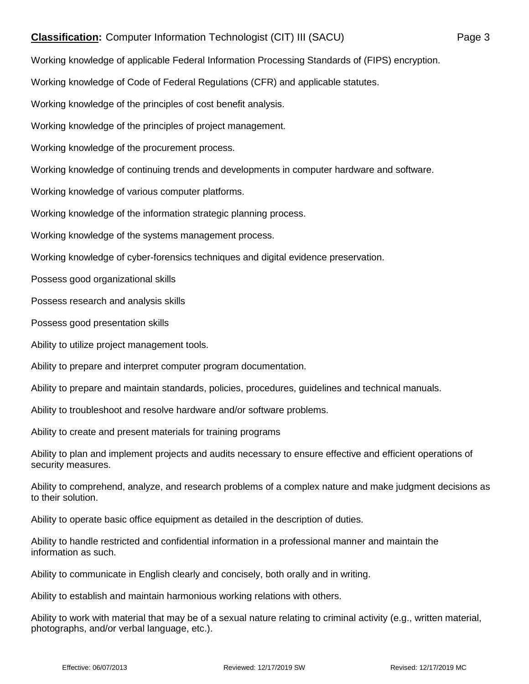## **Classification:** Computer Information Technologist (CIT) III (SACU) Page 3

Working knowledge of applicable Federal Information Processing Standards of (FIPS) encryption.

Working knowledge of Code of Federal Regulations (CFR) and applicable statutes.

Working knowledge of the principles of cost benefit analysis.

Working knowledge of the principles of project management.

Working knowledge of the procurement process.

Working knowledge of continuing trends and developments in computer hardware and software.

Working knowledge of various computer platforms.

Working knowledge of the information strategic planning process.

Working knowledge of the systems management process.

Working knowledge of cyber-forensics techniques and digital evidence preservation.

Possess good organizational skills

Possess research and analysis skills

Possess good presentation skills

Ability to utilize project management tools.

Ability to prepare and interpret computer program documentation.

Ability to prepare and maintain standards, policies, procedures, guidelines and technical manuals.

Ability to troubleshoot and resolve hardware and/or software problems.

Ability to create and present materials for training programs

Ability to plan and implement projects and audits necessary to ensure effective and efficient operations of security measures.

Ability to comprehend, analyze, and research problems of a complex nature and make judgment decisions as to their solution.

Ability to operate basic office equipment as detailed in the description of duties.

Ability to handle restricted and confidential information in a professional manner and maintain the information as such.

Ability to communicate in English clearly and concisely, both orally and in writing.

Ability to establish and maintain harmonious working relations with others.

Ability to work with material that may be of a sexual nature relating to criminal activity (e.g., written material, photographs, and/or verbal language, etc.).